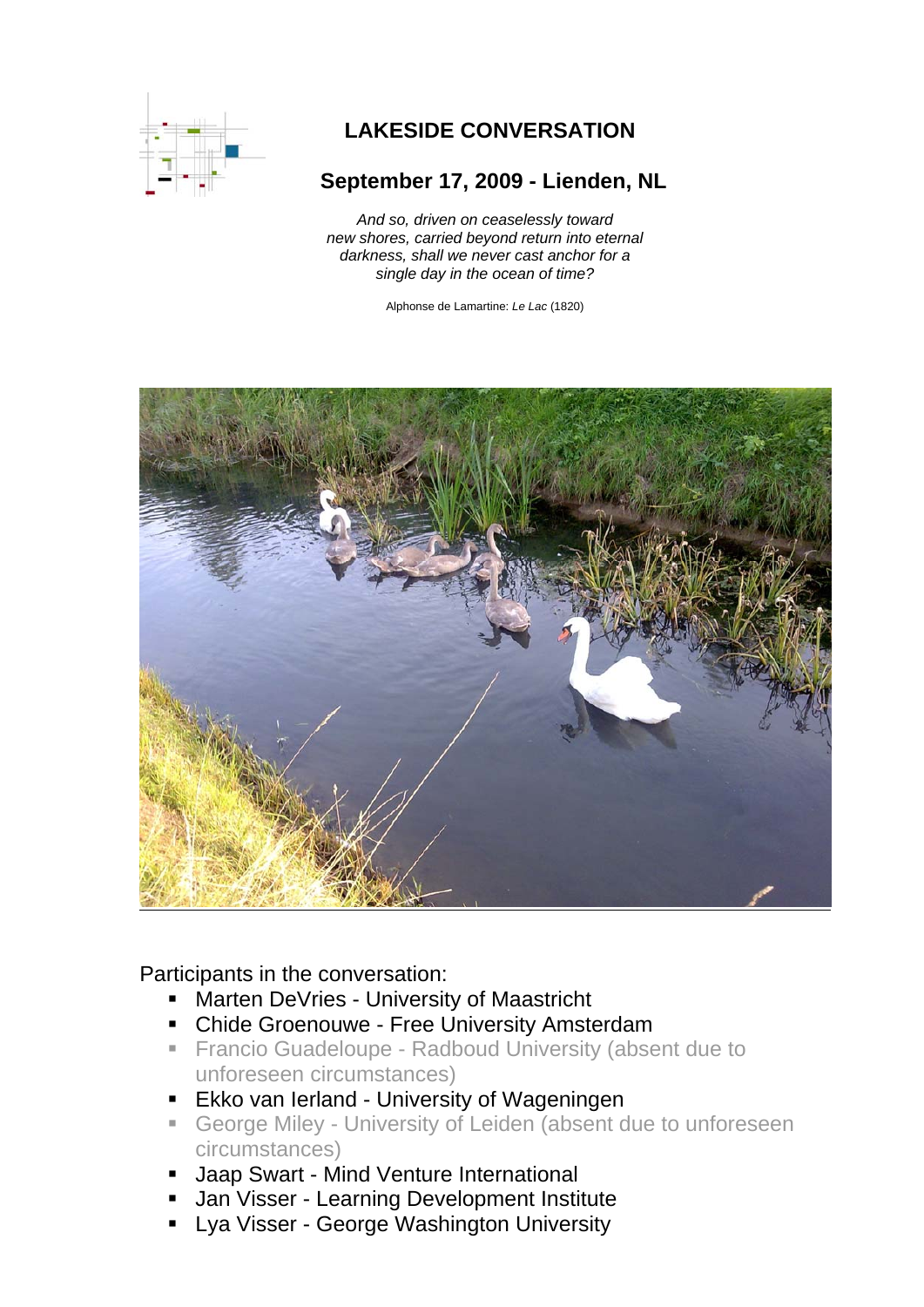

## **LAKESIDE CONVERSATION**

## **September 17, 2009 - Lienden, NL**

*And so, driven on ceaselessly toward new shores, carried beyond return into eternal darkness, shall we never cast anchor for a single day in the ocean of time?* 

Alphonse de Lamartine: *Le Lac* (1820)



Participants in the conversation:

- Marten DeVries University of Maastricht
- **-** Chide Groenouwe Free University Amsterdam
- **Francio Guadeloupe Radboud University (absent due to** unforeseen circumstances)
- **Ekko van Ierland University of Wageningen**
- George Miley University of Leiden (absent due to unforeseen circumstances)
- Jaap Swart Mind Venture International
- Jan Visser Learning Development Institute
- Lya Visser George Washington University